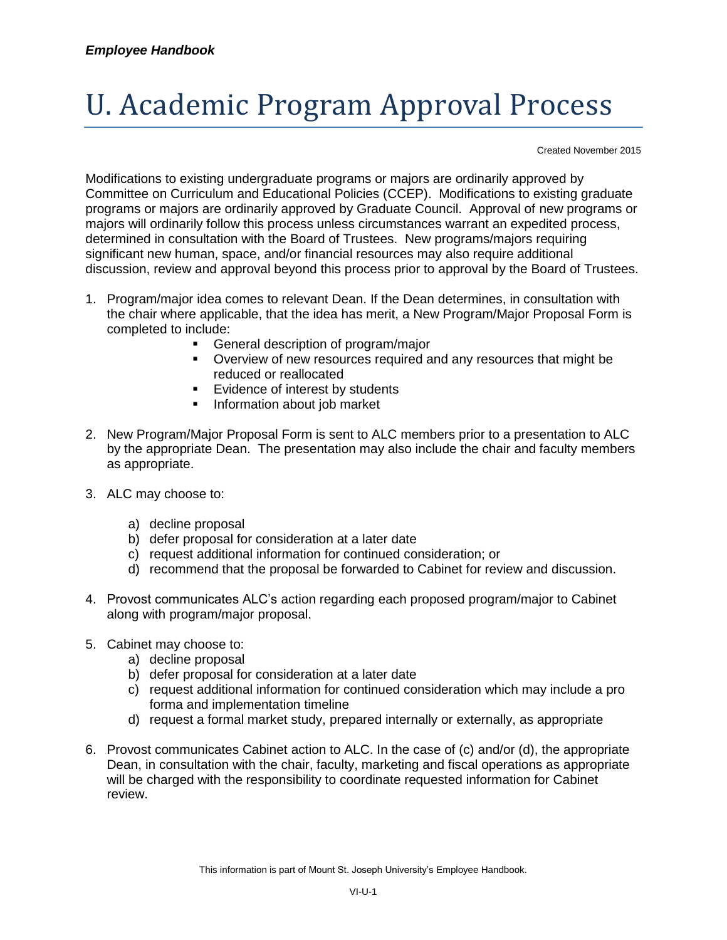## U. Academic Program Approval Process

Created November 2015

Modifications to existing undergraduate programs or majors are ordinarily approved by Committee on Curriculum and Educational Policies (CCEP). Modifications to existing graduate programs or majors are ordinarily approved by Graduate Council. Approval of new programs or majors will ordinarily follow this process unless circumstances warrant an expedited process, determined in consultation with the Board of Trustees. New programs/majors requiring significant new human, space, and/or financial resources may also require additional discussion, review and approval beyond this process prior to approval by the Board of Trustees.

- 1. Program/major idea comes to relevant Dean. If the Dean determines, in consultation with the chair where applicable, that the idea has merit, a New Program/Major Proposal Form is completed to include:
	- General description of program/major
	- Overview of new resources required and any resources that might be reduced or reallocated
	- **Evidence of interest by students**
	- **Information about job market**
- 2. New Program/Major Proposal Form is sent to ALC members prior to a presentation to ALC by the appropriate Dean. The presentation may also include the chair and faculty members as appropriate.
- 3. ALC may choose to:
	- a) decline proposal
	- b) defer proposal for consideration at a later date
	- c) request additional information for continued consideration; or
	- d) recommend that the proposal be forwarded to Cabinet for review and discussion.
- 4. Provost communicates ALC's action regarding each proposed program/major to Cabinet along with program/major proposal.
- 5. Cabinet may choose to:
	- a) decline proposal
	- b) defer proposal for consideration at a later date
	- c) request additional information for continued consideration which may include a pro forma and implementation timeline
	- d) request a formal market study, prepared internally or externally, as appropriate
- 6. Provost communicates Cabinet action to ALC. In the case of (c) and/or (d), the appropriate Dean, in consultation with the chair, faculty, marketing and fiscal operations as appropriate will be charged with the responsibility to coordinate requested information for Cabinet review.